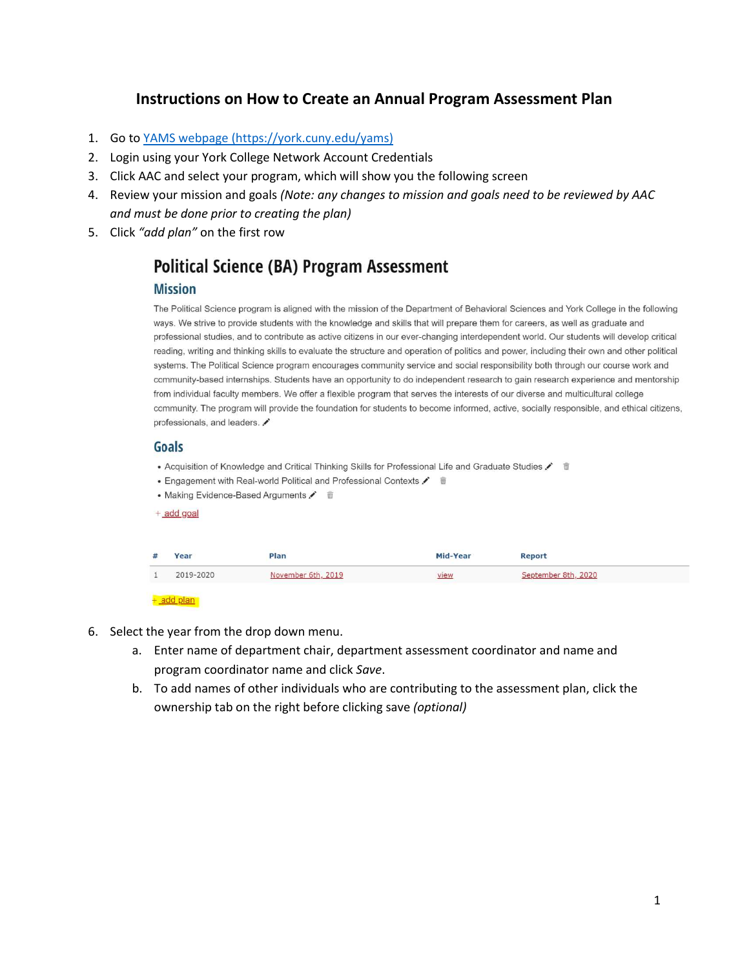# **Instructions on How to Create an Annual Program Assessment Plan**

- 1. Go to [YAMS webpage](https://york.cuny.edu/yams) (https://york.cuny.edu/yams)
- 2. Login using your York College Network Account Credentials
- 3. Click AAC and select your program, which will show you the following screen
- 4. Review your mission and goals *(Note: any changes to mission and goals need to be reviewed by AAC and must be done prior to creating the plan)*
- 5. Click *"add plan"* on the first row

# **Political Science (BA) Program Assessment**

## **Mission**

The Political Science program is aligned with the mission of the Department of Behavioral Sciences and York College in the following ways. We strive to provide students with the knowledge and skills that will prepare them for careers, as well as graduate and professional studies, and to contribute as active citizens in our ever-changing interdependent world. Our students will develop critical reading, writing and thinking skills to evaluate the structure and operation of politics and power, including their own and other political systems. The Political Science program encourages community service and social responsibility both through our course work and community-based internships. Students have an opportunity to do independent research to gain research experience and mentorship from individual faculty members. We offer a flexible program that serves the interests of our diverse and multicultural college community. The program will provide the foundation for students to become informed, active, socially responsible, and ethical citizens, professionals, and leaders.

### Goals

- Acquisition of Knowledge and Critical Thinking Skills for Professional Life and Graduate Studies / 19
- Engagement with Real-world Political and Professional Contexts /  $\vec{v}$





- 6. Select the year from the drop down menu.
	- a. Enter name of department chair, department assessment coordinator and name and program coordinator name and click *Save*.
	- b. To add names of other individuals who are contributing to the assessment plan, click the ownership tab on the right before clicking save *(optional)*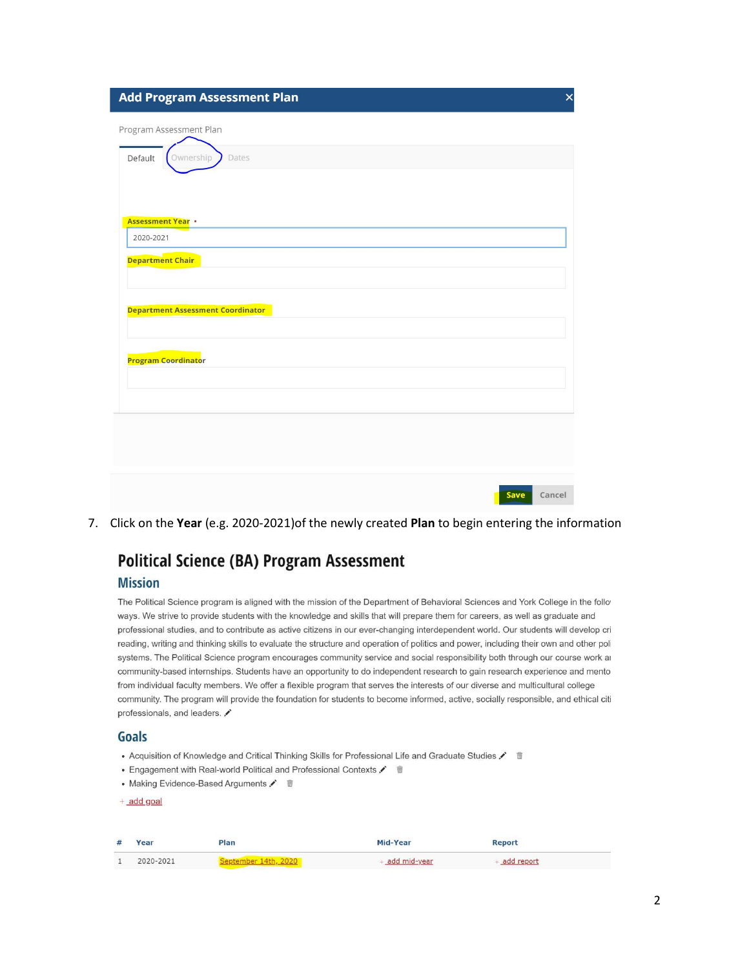|  |  | <b>Add Program Assessment Plan</b> |  |  |  |  |  |  |  |  |
|--|--|------------------------------------|--|--|--|--|--|--|--|--|
|  |  |                                    |  |  |  |  |  |  |  |  |
|  |  |                                    |  |  |  |  |  |  |  |  |

| Program Assessment Plan                  |
|------------------------------------------|
| Ownership<br>Default<br>Dates            |
|                                          |
| <b>Assessment Year .</b>                 |
| 2020-2021                                |
| <b>Department Chair</b>                  |
|                                          |
| <b>Department Assessment Coordinator</b> |
|                                          |
| Program Coordinator                      |
|                                          |
|                                          |
|                                          |
|                                          |
| Save<br>Cancel                           |

7. Click on the Year (e.g. 2020-2021) of the newly created Plan to begin entering the information

# **Political Science (BA) Program Assessment**

# **Mission**

The Political Science program is aligned with the mission of the Department of Behavioral Sciences and York College in the follo ways. We strive to provide students with the knowledge and skills that will prepare them for careers, as well as graduate and professional studies, and to contribute as active citizens in our ever-changing interdependent world. Our students will develop cri reading, writing and thinking skills to evaluate the structure and operation of politics and power, including their own and other poli systems. The Political Science program encourages community service and social responsibility both through our course work ar community-based internships. Students have an opportunity to do independent research to gain research experience and mento from individual faculty members. We offer a flexible program that serves the interests of our diverse and multicultural college community. The program will provide the foundation for students to become informed, active, socially responsible, and ethical citi professionals, and leaders.

### Goals

- Acquisition of Knowledge and Critical Thinking Skills for Professional Life and Graduate Studies
- Engagement with Real-world Political and Professional Contexts /  $\hat{m}$
- Making Evidence-Based Arguments /  $\vec{w}$

 $+$  add goal

| #      | Year      | left                | Mid-Year       | <b>Report</b> |
|--------|-----------|---------------------|----------------|---------------|
| $\sim$ | 2020-2021 | Sentember 14th 2020 | + add mid-year | add report    |

 $\times$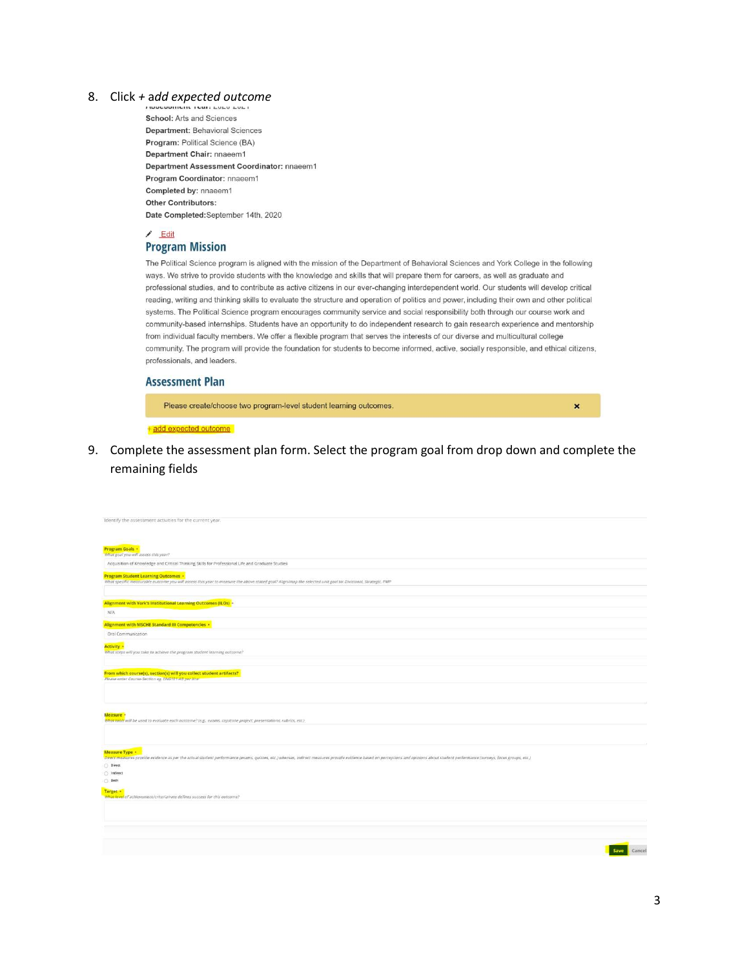### 8. Click *+* a*dd expected outcome*

School: Arts and Sciences Department: Behavioral Sciences Program: Political Science (BA) Department Chair: nnaeem1 Department Assessment Coordinator: nnaeem1 Program Coordinator: nnaeem1 Completed by: nnaeem1 **Other Contributors:** Date Completed:September 14th, 2020

 $E$ dit **Program Mission** 

The Political Science program is aligned with the mission of the Department of Behavioral Sciences and York College in the following ways. We strive to provide students with the knowledge and skills that will prepare them for careers, as well as graduate and professional studies, and to contribute as active citizens in our ever-changing interdependent world. Our students will develop critical reading, writing and thinking skills to evaluate the structure and operation of politics and power, including their own and other political systems. The Political Science program encourages community service and social responsibility both through our course work and community-based internships. Students have an opportunity to do independent research to gain research experience and mentorship from individual faculty members. We offer a flexible program that serves the interests of our diverse and multicultural college community. The program will provide the foundation for students to become informed, active, socially responsible, and ethical citizens, professionals, and leaders.

#### **Assessment Plan**

Please create/choose two program-level student learning outcomes.

 $\pmb{\times}$ 

+add expected outcome

9. Complete the assessment plan form. Select the program goal from drop down and complete the remaining fields

| Identify the assessment activities for the current year.                                                                                                                                                                                                                          |
|-----------------------------------------------------------------------------------------------------------------------------------------------------------------------------------------------------------------------------------------------------------------------------------|
|                                                                                                                                                                                                                                                                                   |
| Program Goals .<br>What goal you will assess this year?                                                                                                                                                                                                                           |
| Acquisition of Knowledge and Critical Thinking Skills for Professional Life and Graduate Studies                                                                                                                                                                                  |
| <b>Program Student Learning Outcomes +</b><br>What specific measurable outcome you will assess this year to measure the above stated goal? Align/map the selected unit goal to: Divisional, Strategic, PMP                                                                        |
| Alignment with York's Institutional Learning Outcomes (ILOs) -                                                                                                                                                                                                                    |
| N/A                                                                                                                                                                                                                                                                               |
| Alignment with MSCHE Standard III Competencies .                                                                                                                                                                                                                                  |
| Oral Communication                                                                                                                                                                                                                                                                |
| <b>Activity •</b><br>What steps will you take to achieve the program student learning outcome?                                                                                                                                                                                    |
| From which course(s), section(s) will you collect student artifacts?<br>Please enter Course-Section eg. ENG101-AB per line                                                                                                                                                        |
| Measure .<br>What tools will be used to evaluate each outcome? (e.g., exams, capstone project, presentations, rubrics, etc.)                                                                                                                                                      |
|                                                                                                                                                                                                                                                                                   |
| Measure Type .<br>Direct measures provide evidence as per the actual student performance (exams, quizzes, etc.) whereas, indirect measures provide evidence based on perceptions and opinions about student performance (surveys, focus groups,<br>Direct<br>c Indirect<br>O Both |
| Target .<br>What level of achievement/criteria/rate defines success for this outcome?                                                                                                                                                                                             |
|                                                                                                                                                                                                                                                                                   |
|                                                                                                                                                                                                                                                                                   |
| Save Cancel                                                                                                                                                                                                                                                                       |